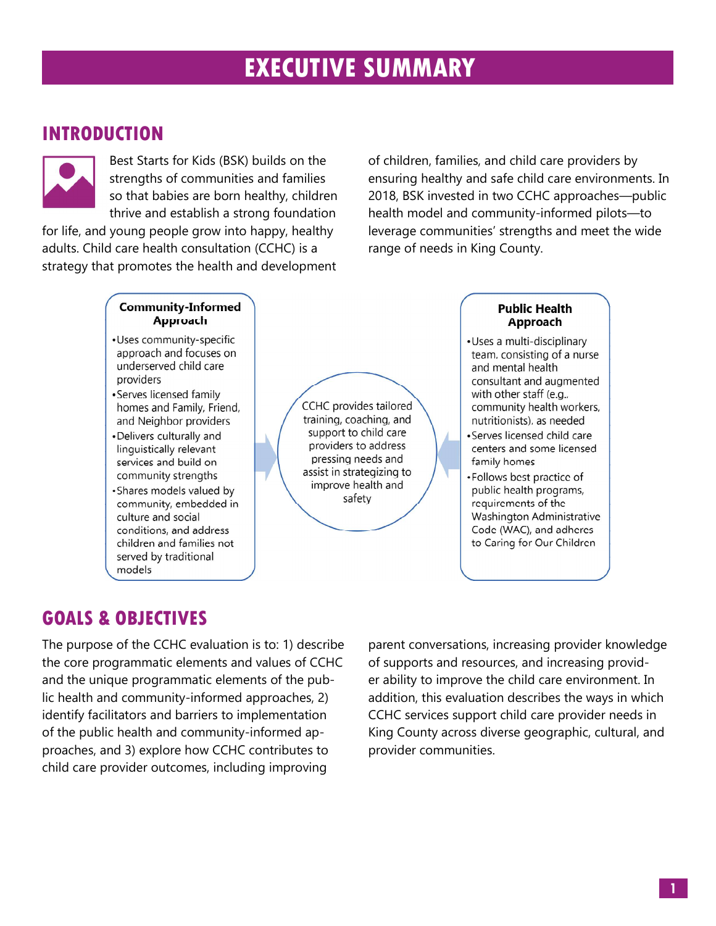# EXECUTIVE SUMMARY

## INTRODUCTION



Best Starts for Kids (BSK) builds on the strengths of communities and families so that babies are born healthy, children thrive and establish a strong foundation

for life, and young people grow into happy, healthy adults. Child care health consultation (CCHC) is a strategy that promotes the health and development of children, families, and child care providers by ensuring healthy and safe child care environments. In 2018, BSK invested in two CCHC approaches—public health model and community-informed pilots—to leverage communities' strengths and meet the wide range of needs in King County.

#### **Community-Informed Approach** ·Uses community-specific approach and focuses on underserved child care providers

- •Serves licensed family homes and Family, Friend, and Neighbor providers
- . Delivers culturally and linguistically relevant services and build on community strengths
- •Shares models valued by community, embedded in culture and social conditions, and address children and families not served by traditional models

CCHC provides tailored training, coaching, and support to child care providers to address pressing needs and assist in strategizing to improve health and safety

### **Public Health** Approach

•Uses a multi-disciplinary team, consisting of a nurse and mental health consultant and augmented with other staff (e.g., community health workers, nutritionists), as needed

- •Serves licensed child care centers and some licensed family homes
- Follows best practice of public health programs, requirements of the Washington Administrative Code (WAC), and adheres to Caring for Our Children

## GOALS & OBJECTIVES

The purpose of the CCHC evaluation is to: 1) describe the core programmatic elements and values of CCHC and the unique programmatic elements of the public health and community-informed approaches, 2) identify facilitators and barriers to implementation of the public health and community-informed approaches, and 3) explore how CCHC contributes to child care provider outcomes, including improving

parent conversations, increasing provider knowledge of supports and resources, and increasing provider ability to improve the child care environment. In addition, this evaluation describes the ways in which CCHC services support child care provider needs in King County across diverse geographic, cultural, and provider communities.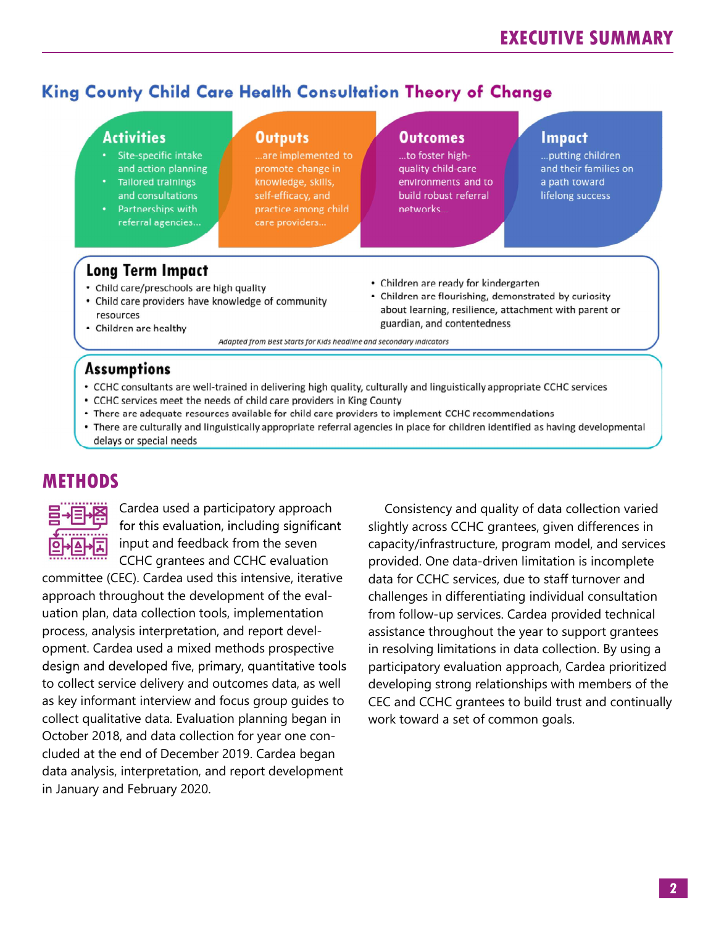## **King County Child Care Health Consultation Theory of Change**

## **Activities**

- Site-specific intake and action planning
- **Tailored trainings** and consultations
- Partnerships with referral agencies...

#### **Outputs**

..are implemented to promote change in knowledge, skills, self-efficacy, and practice among child care providers...

#### **Outcomes**

...to foster highquality child-care environments and to build robust referral networks.

#### **Impact**

... putting children and their families on a path toward lifelong success

## **Long Term Impact**

- Child care/preschools are high quality
- Child care providers have knowledge of community resources
- Children are ready for kindergarten
- Children are flourishing, demonstrated by curiosity about learning, resilience, attachment with parent or guardian, and contentedness

Adapted from Best Starts for Kids headline and secondary indicators

### **Assumptions**

• Children are healthy

- CCHC consultants are well-trained in delivering high quality, culturally and linguistically appropriate CCHC services
- CCHC services meet the needs of child care providers in King County
- There are adequate resources available for child care providers to implement CCHC recommendations
- There are culturally and linguistically appropriate referral agencies in place for children identified as having developmental delays or special needs

## **METHODS**



Cardea used a participatory approach for this evaluation, including significant input and feedback from the seven CCHC grantees and CCHC evaluation

committee (CEC). Cardea used this intensive, iterative approach throughout the development of the evaluation plan, data collection tools, implementation process, analysis interpretation, and report development. Cardea used a mixed methods prospective design and developed five, primary, quantitative tools to collect service delivery and outcomes data, as well as key informant interview and focus group guides to collect qualitative data. Evaluation planning began in October 2018, and data collection for year one concluded at the end of December 2019. Cardea began data analysis, interpretation, and report development in January and February 2020.

Consistency and quality of data collection varied slightly across CCHC grantees, given differences in capacity/infrastructure, program model, and services provided. One data-driven limitation is incomplete data for CCHC services, due to staff turnover and challenges in differentiating individual consultation from follow-up services. Cardea provided technical assistance throughout the year to support grantees in resolving limitations in data collection. By using a participatory evaluation approach, Cardea prioritized developing strong relationships with members of the CEC and CCHC grantees to build trust and continually work toward a set of common goals.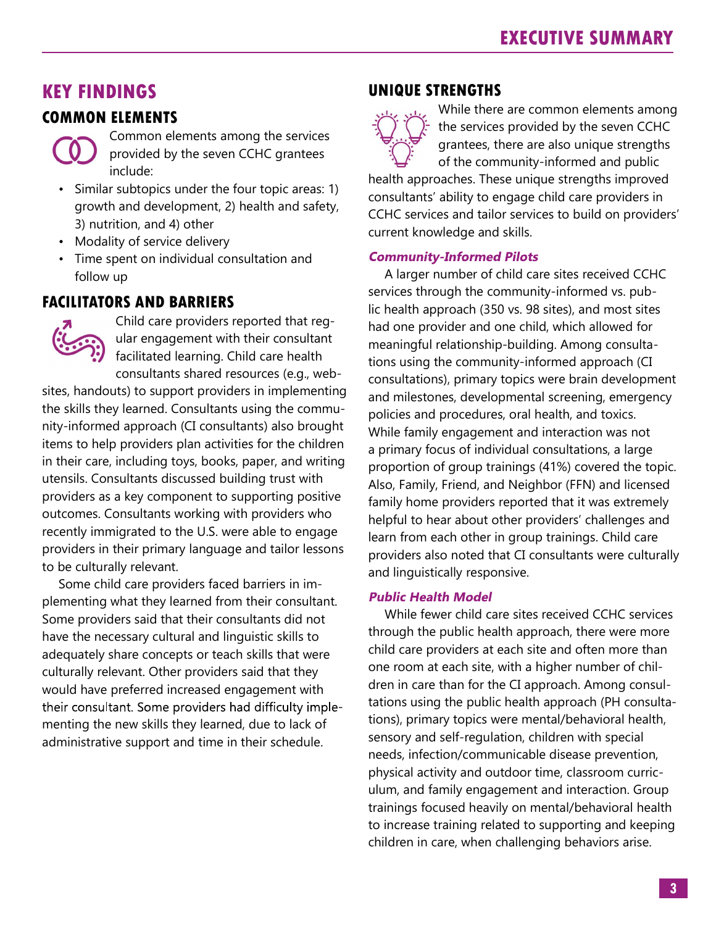## KEY FINDINGS

## COMMON ELEMENTS



Common elements among the services provided by the seven CCHC grantees include:

- Similar subtopics under the four topic areas: 1) growth and development, 2) health and safety, 3) nutrition, and 4) other
- Modality of service delivery
- Time spent on individual consultation and **Community-Informed Pilots** follow up

## FACILITATORS AND BARRIERS



Child care providers reported that regular engagement with their consultant facilitated learning. Child care health consultants shared resources (e.g., web-

sites, handouts) to support providers in implementing the skills they learned. Consultants using the community-informed approach (CI consultants) also brought items to help providers plan activities for the children in their care, including toys, books, paper, and writing utensils. Consultants discussed building trust with providers as a key component to supporting positive outcomes. Consultants working with providers who recently immigrated to the U.S. were able to engage providers in their primary language and tailor lessons to be culturally relevant.

Some child care providers faced barriers in implementing what they learned from their consultant. Public Health Model Some providers said that their consultants did not have the necessary cultural and linguistic skills to adequately share concepts or teach skills that were culturally relevant. Other providers said that they would have preferred increased engagement with<br>their consultant. Some providers had difficulty implementing the new skills they learned, due to lack of administrative support and time in their schedule.

## UNIQUE STRENGTHS



While there are common elements among the services provided by the seven CCHC grantees, there are also unique strengths of the community-informed and public

health approaches. These unique strengths improved consultants' ability to engage child care providers in CCHC services and tailor services to build on providers' current knowledge and skills.

A larger number of child care sites received CCHC services through the community-informed vs. public health approach (350 vs. 98 sites), and most sites had one provider and one child, which allowed for meaningful relationship-building. Among consultations using the community-informed approach (CI consultations), primary topics were brain development and milestones, developmental screening, emergency policies and procedures, oral health, and toxics. While family engagement and interaction was not a primary focus of individual consultations, a large proportion of group trainings (41%) covered the topic. Also, Family, Friend, and Neighbor (FFN) and licensed family home providers reported that it was extremely helpful to hear about other providers' challenges and learn from each other in group trainings. Child care providers also noted that CI consultants were culturally and linguistically responsive.

While fewer child care sites received CCHC services through the public health approach, there were more child care providers at each site and often more than one room at each site, with a higher number of children in care than for the CI approach. Among consultations using the public health approach (PH consultations), primary topics were mental/behavioral health, sensory and self-regulation, children with special needs, infection/communicable disease prevention, physical activity and outdoor time, classroom curriculum, and family engagement and interaction. Group trainings focused heavily on mental/behavioral health to increase training related to supporting and keeping children in care, when challenging behaviors arise.